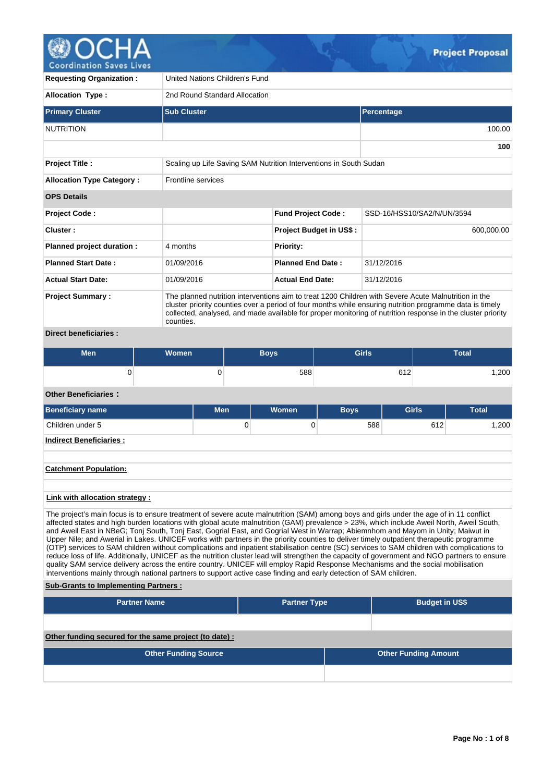

| <b>Requesting Organization:</b>  | United Nations Children's Fund                                                                                                                                                                                                                                                                                                               |                                |                            |  |  |  |  |  |  |  |  |
|----------------------------------|----------------------------------------------------------------------------------------------------------------------------------------------------------------------------------------------------------------------------------------------------------------------------------------------------------------------------------------------|--------------------------------|----------------------------|--|--|--|--|--|--|--|--|
| Allocation Type:                 |                                                                                                                                                                                                                                                                                                                                              | 2nd Round Standard Allocation  |                            |  |  |  |  |  |  |  |  |
| <b>Primary Cluster</b>           | <b>Sub Cluster</b>                                                                                                                                                                                                                                                                                                                           |                                | Percentage                 |  |  |  |  |  |  |  |  |
| <b>NUTRITION</b>                 |                                                                                                                                                                                                                                                                                                                                              |                                | 100.00                     |  |  |  |  |  |  |  |  |
|                                  |                                                                                                                                                                                                                                                                                                                                              |                                | 100                        |  |  |  |  |  |  |  |  |
| <b>Project Title:</b>            | Scaling up Life Saving SAM Nutrition Interventions in South Sudan                                                                                                                                                                                                                                                                            |                                |                            |  |  |  |  |  |  |  |  |
| <b>Allocation Type Category:</b> | <b>Frontline services</b>                                                                                                                                                                                                                                                                                                                    |                                |                            |  |  |  |  |  |  |  |  |
| <b>OPS Details</b>               |                                                                                                                                                                                                                                                                                                                                              |                                |                            |  |  |  |  |  |  |  |  |
| <b>Project Code:</b>             |                                                                                                                                                                                                                                                                                                                                              | <b>Fund Project Code:</b>      | SSD-16/HSS10/SA2/N/UN/3594 |  |  |  |  |  |  |  |  |
| Cluster:                         |                                                                                                                                                                                                                                                                                                                                              | <b>Project Budget in US\$:</b> | 600,000.00                 |  |  |  |  |  |  |  |  |
| Planned project duration :       | 4 months                                                                                                                                                                                                                                                                                                                                     | <b>Priority:</b>               |                            |  |  |  |  |  |  |  |  |
| <b>Planned Start Date:</b>       | 01/09/2016                                                                                                                                                                                                                                                                                                                                   | <b>Planned End Date:</b>       | 31/12/2016                 |  |  |  |  |  |  |  |  |
| <b>Actual Start Date:</b>        | 01/09/2016                                                                                                                                                                                                                                                                                                                                   | <b>Actual End Date:</b>        | 31/12/2016                 |  |  |  |  |  |  |  |  |
| <b>Project Summary:</b>          | The planned nutrition interventions aim to treat 1200 Children with Severe Acute Malnutrition in the<br>cluster priority counties over a period of four months while ensuring nutrition programme data is timely<br>collected, analysed, and made available for proper monitoring of nutrition response in the cluster priority<br>counties. |                                |                            |  |  |  |  |  |  |  |  |

# **Direct beneficiaries :**

| Men | Women | <b>Boys</b> | <b>Girls</b> | <b>Total</b> |
|-----|-------|-------------|--------------|--------------|
|     |       | 588         | 0.40<br>61Z  | ,200         |

# **Other Beneficiaries :**

| <b>Beneficiary name</b>        | <b>Men</b> | Women | <b>Boys</b> | <b>Girls</b> | <b>Total</b> |
|--------------------------------|------------|-------|-------------|--------------|--------------|
| Children under 5               | 0          |       | 588         | 612          | 1,200        |
| <b>Indirect Beneficiaries:</b> |            |       |             |              |              |
|                                |            |       |             |              |              |
| <b>Catchment Population:</b>   |            |       |             |              |              |

### **Link with allocation strategy :**

The project's main focus is to ensure treatment of severe acute malnutrition (SAM) among boys and girls under the age of in 11 conflict affected states and high burden locations with global acute malnutrition (GAM) prevalence > 23%, which include Aweil North, Aweil South, and Aweil East in NBeG; Tonj South, Tonj East, Gogrial East, and Gogrial West in Warrap; Abiemnhom and Mayom in Unity; Maiwut in Upper Nile; and Awerial in Lakes. UNICEF works with partners in the priority counties to deliver timely outpatient therapeutic programme (OTP) services to SAM children without complications and inpatient stabilisation centre (SC) services to SAM children with complications to reduce loss of life. Additionally, UNICEF as the nutrition cluster lead will strengthen the capacity of government and NGO partners to ensure quality SAM service delivery across the entire country. UNICEF will employ Rapid Response Mechanisms and the social mobilisation interventions mainly through national partners to support active case finding and early detection of SAM children.

### **Sub-Grants to Implementing Partners :**

| <b>Partner Name</b>                                   | <b>Partner Type</b> | <b>Budget in US\$</b>       |
|-------------------------------------------------------|---------------------|-----------------------------|
|                                                       |                     |                             |
| Other funding secured for the same project (to date): |                     |                             |
| <b>Other Funding Source</b>                           |                     | <b>Other Funding Amount</b> |
|                                                       |                     |                             |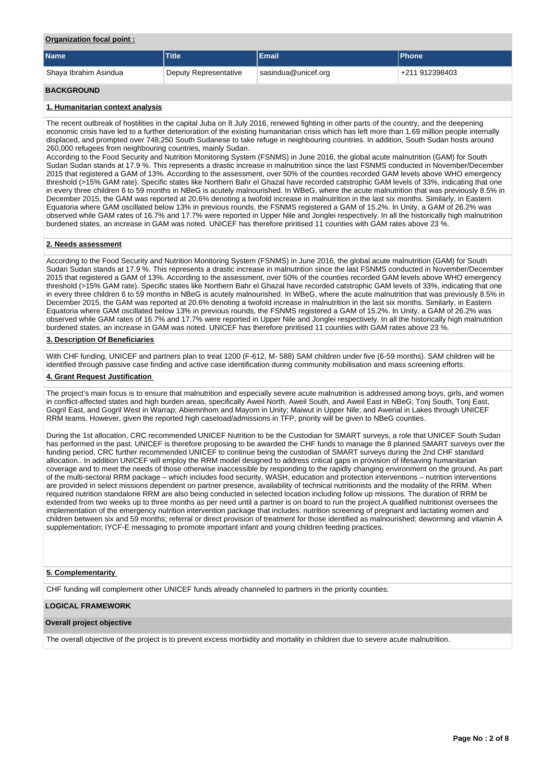### **Organization focal point :**

| <b>Name</b>           | <b>Title</b>          | <b>IEmail</b>       | <b>Phone</b>   |
|-----------------------|-----------------------|---------------------|----------------|
| Shaya Ibrahim Asindua | Deputy Representative | sasindua@unicef.org | +211 912398403 |
| <b>BACKGROUND</b>     |                       |                     |                |

#### **1. Humanitarian context analysis**

The recent outbreak of hostilities in the capital Juba on 8 July 2016, renewed fighting in other parts of the country, and the deepening economic crisis have led to a further deterioration of the existing humanitarian crisis which has left more than 1.69 million people internally displaced, and prompted over 748,250 South Sudanese to take refuge in neighbouring countries. In addition, South Sudan hosts around 260,000 refugees from neighbouring countries, mainly Sudan.

According to the Food Security and Nutrition Monitoring System (FSNMS) in June 2016, the global acute malnutrition (GAM) for South Sudan Sudan stands at 17.9 %. This represents a drastic increase in malnutrition since the last FSNMS conducted in November/December 2015 that registered a GAM of 13%. According to the assessment, over 50% of the counties recorded GAM levels above WHO emergency threshold (>15% GAM rate). Specific states like Northern Bahr el Ghazal have recorded catstrophic GAM levels of 33%, indicating that one in every three children 6 to 59 months in NBeG is acutely malnourished. In WBeG, where the acute malnutrition that was previously 8.5% in December 2015, the GAM was reported at 20.6% denoting a twofold increase in malnutrition in the last six months. Similarly, in Eastern Equatoria where GAM oscillated below 13% in previous rounds, the FSNMS registered a GAM of 15.2%. In Unity, a GAM of 26.2% was observed while GAM rates of 16.7% and 17.7% were reported in Upper Nile and Jonglei respectively. In all the historically high malnutrition burdened states, an increase in GAM was noted. UNICEF has therefore priritised 11 counties with GAM rates above 23 %.

#### **2. Needs assessment**

According to the Food Security and Nutrition Monitoring System (FSNMS) in June 2016, the global acute malnutrition (GAM) for South Sudan Sudan stands at 17.9 %. This represents a drastic increase in malnutrition since the last FSNMS conducted in November/December 2015 that registered a GAM of 13%. According to the assessment, over 50% of the counties recorded GAM levels above WHO emergency threshold (>15% GAM rate). Specific states like Northern Bahr el Ghazal have recorded catstrophic GAM levels of 33%, indicating that one in every three children 6 to 59 months in NBeG is acutely malnourished. In WBeG, where the acute malnutrition that was previously 8.5% in December 2015, the GAM was reported at 20.6% denoting a twofold increase in malnutrition in the last six months. Similarly, in Eastern Equatoria where GAM oscillated below 13% in previous rounds, the FSNMS registered a GAM of 15.2%. In Unity, a GAM of 26.2% was observed while GAM rates of 16.7% and 17.7% were reported in Upper Nile and Jonglei respectively. In all the historically high malnutrition burdened states, an increase in GAM was noted. UNICEF has therefore priritised 11 counties with GAM rates above 23 %.

### **3. Description Of Beneficiaries**

With CHF funding, UNICEF and partners plan to treat 1200 (F-612, M- 588) SAM children under five (6-59 months). SAM children will be identified through passive case finding and active case identification during community mobilisation and mass screening efforts.

#### **4. Grant Request Justification**

The project's main focus is to ensure that malnutrition and especially severe acute malnutrition is addressed among boys, girls, and women in conflict-affected states and high burden areas, specifically Aweil North, Aweil South, and Aweil East in NBeG; Tonj South, Tonj East, Gogril East, and Gogril West in Warrap; Abiemnhom and Mayom in Unity; Maiwut in Upper Nile; and Awerial in Lakes through UNICEF RRM teams. However, given the reported high caseload/admissions in TFP, priority will be given to NBeG counties.

During the 1st allocation, CRC recommended UNICEF Nutrition to be the Custodian for SMART surveys, a role that UNICEF South Sudan has performed in the past. UNICEF is therefore proposing to be awarded the CHF funds to manage the 8 planned SMART surveys over the funding period, CRC further recommended UNICEF to continue being the custodian of SMART surveys during the 2nd CHF standard allocation.. In addition UNICEF will employ the RRM model designed to address critical gaps in provision of lifesaving humanitarian coverage and to meet the needs of those otherwise inaccessible by responding to the rapidly changing environment on the ground. As part of the multi-sectoral RRM package – which includes food security, WASH, education and protection interventions – nutrition interventions are provided in select missions dependent on partner presence, availability of technical nutritionists and the modality of the RRM. When required nutrition standalone RRM are also being conducted in selected location including follow up missions. The duration of RRM be extended from two weeks up to three months as per need until a partner is on board to run the project.A qualified nutritionist oversees the implementation of the emergency nutrition intervention package that includes: nutrition screening of pregnant and lactating women and children between six and 59 months; referral or direct provision of treatment for those identified as malnourished; deworming and vitamin A supplementation; IYCF-E messaging to promote important infant and young children feeding practices.

#### **5. Complementarity**

CHF funding will complement other UNICEF funds already channeled to partners in the priority counties.

#### **LOGICAL FRAMEWORK**

#### **Overall project objective**

The overall objective of the project is to prevent excess morbidity and mortality in children due to severe acute malnutrition.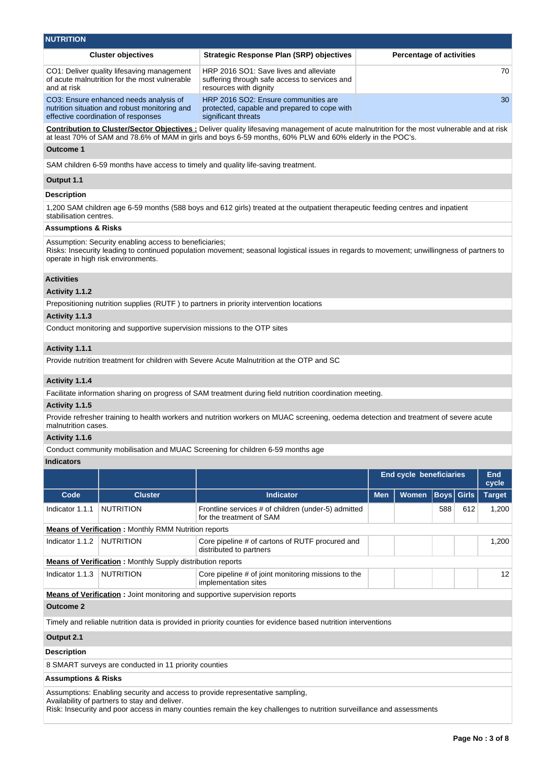| <b>Cluster objectives</b>                                                                                                      | <b>Strategic Response Plan (SRP) objectives</b>                                                                   | <b>Percentage of activities</b> |
|--------------------------------------------------------------------------------------------------------------------------------|-------------------------------------------------------------------------------------------------------------------|---------------------------------|
| CO1: Deliver quality lifesaving management<br>of acute malnutrition for the most vulnerable<br>and at risk                     | HRP 2016 SO1: Save lives and alleviate<br>suffering through safe access to services and<br>resources with dignity | 70                              |
| CO3: Ensure enhanced needs analysis of<br>nutrition situation and robust monitoring and<br>effective coordination of responses | HRP 2016 SO2: Ensure communities are<br>protected, capable and prepared to cope with<br>significant threats       | 30                              |

**Contribution to Cluster/Sector Objectives :** Deliver quality lifesaving management of acute malnutrition for the most vulnerable and at risk at least 70% of SAM and 78.6% of MAM in girls and boys 6-59 months, 60% PLW and 60% elderly in the POC's.

### **Outcome 1**

SAM children 6-59 months have access to timely and quality life-saving treatment.

#### **Output 1.1**

#### **Description**

1,200 SAM children age 6-59 months (588 boys and 612 girls) treated at the outpatient therapeutic feeding centres and inpatient stabilisation centres.

### **Assumptions & Risks**

Assumption: Security enabling access to beneficiaries;

Risks: Insecurity leading to continued population movement; seasonal logistical issues in regards to movement; unwillingness of partners to operate in high risk environments.

## **Activities**

# **Activity 1.1.2**

Prepositioning nutrition supplies (RUTF ) to partners in priority intervention locations

#### **Activity 1.1.3**

Conduct monitoring and supportive supervision missions to the OTP sites

#### **Activity 1.1.1**

Provide nutrition treatment for children with Severe Acute Malnutrition at the OTP and SC

# **Activity 1.1.4**

Facilitate information sharing on progress of SAM treatment during field nutrition coordination meeting.

#### **Activity 1.1.5**

Provide refresher training to health workers and nutrition workers on MUAC screening, oedema detection and treatment of severe acute malnutrition cases.

#### **Activity 1.1.6**

Conduct community mobilisation and MUAC Screening for children 6-59 months age

# **Indicators**

|                 |                                                                   |                                                                                   | <b>End cycle beneficiaries</b> |              |     |                   |                 |  |  |  |  | <b>End</b><br>cycle |
|-----------------|-------------------------------------------------------------------|-----------------------------------------------------------------------------------|--------------------------------|--------------|-----|-------------------|-----------------|--|--|--|--|---------------------|
| Code            | <b>Cluster</b>                                                    | <b>Indicator</b>                                                                  | <b>Men</b>                     | <b>Women</b> |     | <b>Boys</b> Girls | <b>Target</b>   |  |  |  |  |                     |
| Indicator 1.1.1 | <b>NUTRITION</b>                                                  | Frontline services # of children (under-5) admitted<br>for the treatment of SAM   |                                |              | 588 | 612               | 1.200           |  |  |  |  |                     |
|                 | <b>Means of Verification:</b> Monthly RMM Nutrition reports       |                                                                                   |                                |              |     |                   |                 |  |  |  |  |                     |
| Indicator 1.1.2 | <b>NUTRITION</b>                                                  | Core pipeline # of cartons of RUTF procured and<br>distributed to partners        |                                |              |     |                   | 1.200           |  |  |  |  |                     |
|                 | <b>Means of Verification:</b> Monthly Supply distribution reports |                                                                                   |                                |              |     |                   |                 |  |  |  |  |                     |
| Indicator 1.1.3 | <b>NUTRITION</b>                                                  | Core pipeline # of joint monitoring missions to the<br>implementation sites       |                                |              |     |                   | 12 <sup>1</sup> |  |  |  |  |                     |
|                 |                                                                   | <b>Means of Verification:</b> Joint monitoring and supportive supervision reports |                                |              |     |                   |                 |  |  |  |  |                     |
| Outcome 2       |                                                                   |                                                                                   |                                |              |     |                   |                 |  |  |  |  |                     |

Timely and reliable nutrition data is provided in priority counties for evidence based nutrition interventions

#### **Output 2.1**

# **Description**

8 SMART surveys are conducted in 11 priority counties

# **Assumptions & Risks**

Assumptions: Enabling security and access to provide representative sampling,

Availability of partners to stay and deliver.

Risk: Insecurity and poor access in many counties remain the key challenges to nutrition surveillance and assessments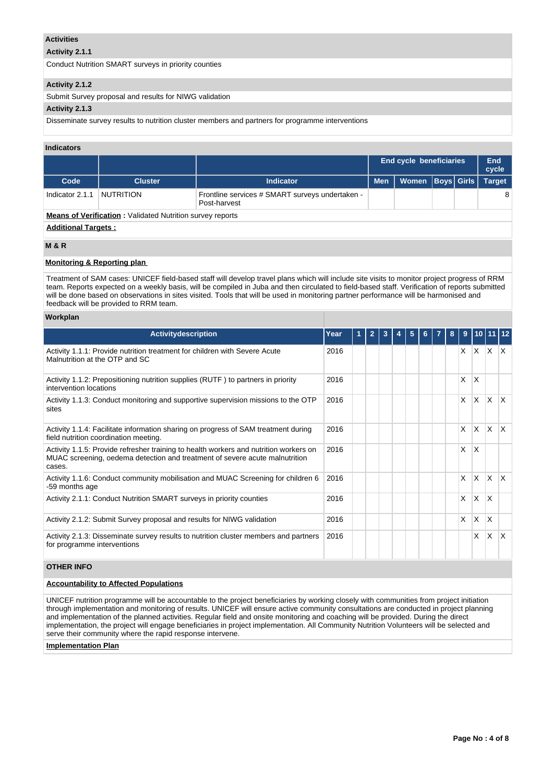### **Activities**

# **Activity 2.1.1**

Conduct Nutrition SMART surveys in priority counties

### **Activity 2.1.2**

Submit Survey proposal and results for NIWG validation

# **Activity 2.1.3**

Disseminate survey results to nutrition cluster members and partners for programme interventions

### **Indicators**

|                            |                                                                  |                  | <b>End cycle beneficiaries</b> |       |  |                   | End<br>cycle  |  |  |  |  |  |
|----------------------------|------------------------------------------------------------------|------------------|--------------------------------|-------|--|-------------------|---------------|--|--|--|--|--|
| Code                       | <b>Cluster</b>                                                   | <b>Indicator</b> | <b>Men</b>                     | Women |  | <b>Boys Girls</b> | <b>Target</b> |  |  |  |  |  |
| Indicator 2.1.1            | NUTRITION                                                        |                  |                                |       |  | 8                 |               |  |  |  |  |  |
|                            | <b>Means of Verification: Validated Nutrition survey reports</b> |                  |                                |       |  |                   |               |  |  |  |  |  |
| <b>Additional Targets:</b> |                                                                  |                  |                                |       |  |                   |               |  |  |  |  |  |
| <b>MOD</b>                 |                                                                  |                  |                                |       |  |                   |               |  |  |  |  |  |

### **M & R**

#### **Monitoring & Reporting plan**

Treatment of SAM cases: UNICEF field-based staff will develop travel plans which will include site visits to monitor project progress of RRM team. Reports expected on a weekly basis, will be compiled in Juba and then circulated to field-based staff. Verification of reports submitted will be done based on observations in sites visited. Tools that will be used in monitoring partner performance will be harmonised and feedback will be provided to RRM team.

#### **Workplan**

| <b>Activitydescription</b>                                                                                                                                                     | Year | $\overline{2}$ |  | 5 | 6. | 8 | 9        | 10   11  |              |                         |
|--------------------------------------------------------------------------------------------------------------------------------------------------------------------------------|------|----------------|--|---|----|---|----------|----------|--------------|-------------------------|
| Activity 1.1.1: Provide nutrition treatment for children with Severe Acute<br>Malnutrition at the OTP and SC                                                                   | 2016 |                |  |   |    |   | $\times$ | $X$ $X$  |              | $\mathsf{X}$            |
| Activity 1.1.2: Prepositioning nutrition supplies (RUTF) to partners in priority<br>intervention locations                                                                     | 2016 |                |  |   |    |   | X        | X        |              |                         |
| Activity 1.1.3: Conduct monitoring and supportive supervision missions to the OTP<br>sites                                                                                     | 2016 |                |  |   |    |   | X        | $\times$ | ΙX.          | $\mathsf{I} \mathsf{X}$ |
| Activity 1.1.4: Facilitate information sharing on progress of SAM treatment during<br>field nutrition coordination meeting.                                                    | 2016 |                |  |   |    |   | $\times$ | <b>X</b> | $\mathsf{X}$ | $\mathsf{X}$            |
| Activity 1.1.5: Provide refresher training to health workers and nutrition workers on<br>MUAC screening, oedema detection and treatment of severe acute malnutrition<br>cases. | 2016 |                |  |   |    |   | X        | X        |              |                         |
| Activity 1.1.6: Conduct community mobilisation and MUAC Screening for children 6<br>-59 months age                                                                             | 2016 |                |  |   |    |   | X        | $\times$ | <b>X</b>     | $\mathsf{I} \mathsf{X}$ |
| Activity 2.1.1: Conduct Nutrition SMART surveys in priority counties                                                                                                           | 2016 |                |  |   |    |   | X        | <b>X</b> | ΙX           |                         |
| Activity 2.1.2: Submit Survey proposal and results for NIWG validation                                                                                                         | 2016 |                |  |   |    |   | X        | X        | <sup>X</sup> |                         |
| Activity 2.1.3: Disseminate survey results to nutrition cluster members and partners<br>for programme interventions                                                            | 2016 |                |  |   |    |   |          | X        | $\mathsf{x}$ | X                       |

# **OTHER INFO**

# **Accountability to Affected Populations**

UNICEF nutrition programme will be accountable to the project beneficiaries by working closely with communities from project initiation through implementation and monitoring of results. UNICEF will ensure active community consultations are conducted in project planning and implementation of the planned activities. Regular field and onsite monitoring and coaching will be provided. During the direct implementation, the project will engage beneficiaries in project implementation. All Community Nutrition Volunteers will be selected and serve their community where the rapid response intervene.

#### **Implementation Plan**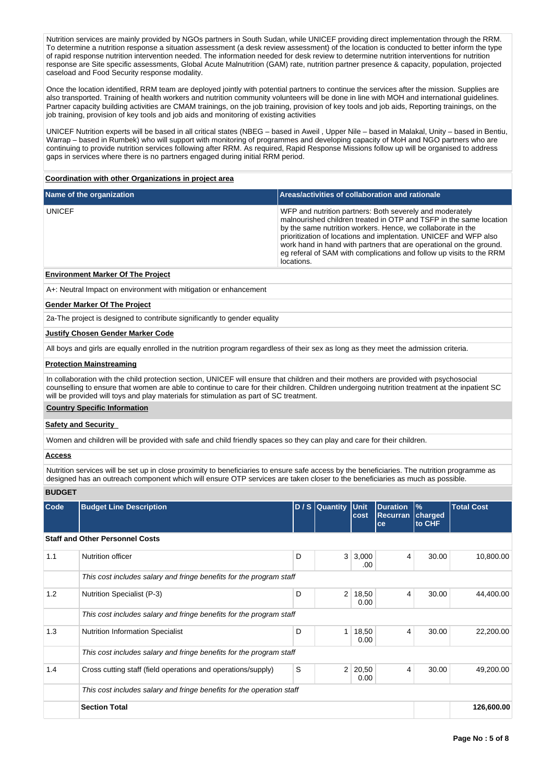Nutrition services are mainly provided by NGOs partners in South Sudan, while UNICEF providing direct implementation through the RRM. To determine a nutrition response a situation assessment (a desk review assessment) of the location is conducted to better inform the type of rapid response nutrition intervention needed. The information needed for desk review to determine nutrition interventions for nutrition response are Site specific assessments, Global Acute Malnutrition (GAM) rate, nutrition partner presence & capacity, population, projected caseload and Food Security response modality.

Once the location identified, RRM team are deployed jointly with potential partners to continue the services after the mission. Supplies are also transported. Training of health workers and nutrition community volunteers will be done in line with MOH and international guidelines. Partner capacity building activities are CMAM trainings, on the job training, provision of key tools and job aids, Reporting trainings, on the job training, provision of key tools and job aids and monitoring of existing activities

UNICEF Nutrition experts will be based in all critical states (NBEG – based in Aweil , Upper Nile – based in Malakal, Unity – based in Bentiu, Warrap – based in Rumbek) who will support with monitoring of programmes and developing capacity of MoH and NGO partners who are continuing to provide nutrition services following after RRM. As required, Rapid Response Missions follow up will be organised to address gaps in services where there is no partners engaged during initial RRM period.

#### **Coordination with other Organizations in project area**

| Name of the organization | Areas/activities of collaboration and rationale                                                                                                                                                                                                                                                                                                                                                                                 |
|--------------------------|---------------------------------------------------------------------------------------------------------------------------------------------------------------------------------------------------------------------------------------------------------------------------------------------------------------------------------------------------------------------------------------------------------------------------------|
| <b>UNICEF</b>            | WFP and nutrition partners: Both severely and moderately<br>malnourished children treated in OTP and TSFP in the same location<br>by the same nutrition workers. Hence, we collaborate in the<br>prioritization of locations and implentation. UNICEF and WFP also<br>work hand in hand with partners that are operational on the ground.<br>eq referal of SAM with complications and follow up visits to the RRM<br>locations. |

### **Environment Marker Of The Project**

A+: Neutral Impact on environment with mitigation or enhancement

#### **Gender Marker Of The Project**

2a-The project is designed to contribute significantly to gender equality

### **Justify Chosen Gender Marker Code**

All boys and girls are equally enrolled in the nutrition program regardless of their sex as long as they meet the admission criteria.

#### **Protection Mainstreaming**

In collaboration with the child protection section, UNICEF will ensure that children and their mothers are provided with psychosocial counselling to ensure that women are able to continue to care for their children. Children undergoing nutrition treatment at the inpatient SC will be provided will toys and play materials for stimulation as part of SC treatment.

#### **Country Specific Information**

#### **Safety and Security**

Women and children will be provided with safe and child friendly spaces so they can play and care for their children.

### **Access**

Nutrition services will be set up in close proximity to beneficiaries to ensure safe access by the beneficiaries. The nutrition programme as designed has an outreach component which will ensure OTP services are taken closer to the beneficiaries as much as possible.

# **BUDGET**

| Code | <b>Budget Line Description</b>                                        |   | $D/S$ Quantity | <b>Unit</b><br>cost | <b>Duration</b><br>Recurran<br>ce | $\frac{9}{6}$<br>charged<br>to CHF | <b>Total Cost</b> |
|------|-----------------------------------------------------------------------|---|----------------|---------------------|-----------------------------------|------------------------------------|-------------------|
|      | <b>Staff and Other Personnel Costs</b>                                |   |                |                     |                                   |                                    |                   |
| 1.1  | Nutrition officer                                                     | D |                | 3 3,000<br>.00      | 4                                 | 30.00                              | 10,800.00         |
|      | This cost includes salary and fringe benefits for the program staff   |   |                |                     |                                   |                                    |                   |
| 1.2  | Nutrition Specialist (P-3)                                            | D | $\overline{2}$ | 18,50<br>0.00       | 4                                 | 30.00                              | 44,400.00         |
|      | This cost includes salary and fringe benefits for the program staff   |   |                |                     |                                   |                                    |                   |
| 1.3  | Nutrition Information Specialist                                      | D | 1 <sup>1</sup> | 18,50<br>0.00       | 4                                 | 30.00                              | 22,200.00         |
|      | This cost includes salary and fringe benefits for the program staff   |   |                |                     |                                   |                                    |                   |
| 1.4  | Cross cutting staff (field operations and operations/supply)          | S | $\overline{2}$ | 20,50<br>0.00       | 4                                 | 30.00                              | 49,200.00         |
|      | This cost includes salary and fringe benefits for the operation staff |   |                |                     |                                   |                                    |                   |
|      | <b>Section Total</b>                                                  |   | 126,600.00     |                     |                                   |                                    |                   |